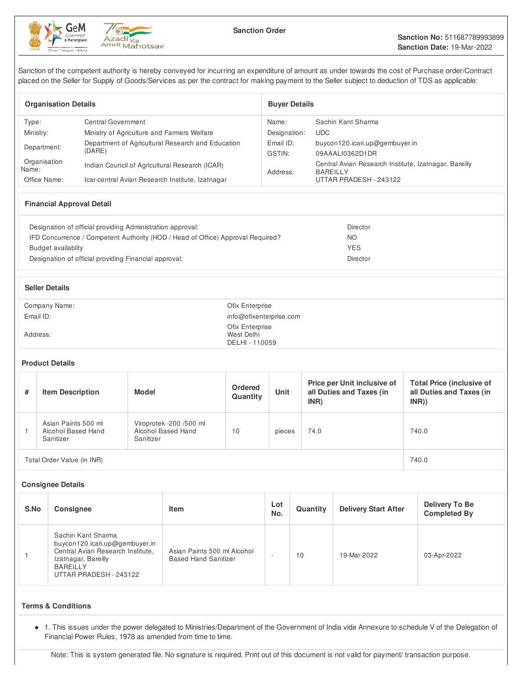



Sanction of the competent authority is hereby conveyed for incurring an expenditure of amount as under towards the cost of Purchase order/Contract placed on the Seller for Supply of Goods/Services as per the contract for making payment to the Seller subject to deduction of TDS as applicable:

| <b>Organisation Details</b> |                                                   | <b>Buver Details</b> |                                                                          |  |  |
|-----------------------------|---------------------------------------------------|----------------------|--------------------------------------------------------------------------|--|--|
| Type:                       | Central Government                                | Name:                | Sachin Kant Sharma                                                       |  |  |
| Ministry:                   | Ministry of Agriculture and Farmers Welfare       | Designation:         | <b>UDC</b>                                                               |  |  |
| Department:                 | Department of Agricultural Research and Education | Email ID:            | buycon120.icari.up@gembuyer.in                                           |  |  |
|                             | (DARE)                                            | GSTIN:               | 09AAALI0362D1DR                                                          |  |  |
| Organisation<br>Name:       | Indian Council of Agricultural Research (ICAR)    | Address:             | Central Avian Research Institute, Izatnagar, Bareilly<br><b>BAREILLY</b> |  |  |
| Office Name:                | Icar-central Avian Research Institute, Izatnagar  |                      | UTTAR PRADESH - 243122                                                   |  |  |

## **Financial Approval Detail**

| Designation of official providing Administration approval:                      | Director |
|---------------------------------------------------------------------------------|----------|
| IFD Concurrence / Competent Authority (HOD / Head of Office) Approval Required? | ΝO       |
| Budget availablity                                                              | YES      |
| Designation of official providing Financial approval:                           | Director |

#### **Seller Details**

| Company Name: | Ofix Enterprise                                 |
|---------------|-------------------------------------------------|
| Email ID:     | info@ofixenterprise.com                         |
| Address:      | Ofix Enterprise<br>West Delhi<br>DELHI - 110059 |

#### **Product Details**

| # | <b>Item Description</b>                                | Model                                                      | Ordered<br>Quantity | <b>Unit</b> | Price per Unit inclusive of<br>all Duties and Taxes (in<br>INR) | <b>Total Price (inclusive of</b><br>all Duties and Taxes (in<br>INR) |
|---|--------------------------------------------------------|------------------------------------------------------------|---------------------|-------------|-----------------------------------------------------------------|----------------------------------------------------------------------|
|   | Asian Paints 500 ml<br>Alcohol Based Hand<br>Sanitizer | Viroprotek -200 /500 ml<br>Alcohol Based Hand<br>Sanitizer | 10                  | pieces      | 74.0                                                            | 740.0                                                                |
|   | Total Order Value (in INR)                             | 740.0                                                      |                     |             |                                                                 |                                                                      |

#### **Consignee Details**

| S.No | <b>Consignee</b>                                                                                                                                              | <b>Item</b>                                                | Lot<br>No. | Quantity | <b>Delivery Start After</b> | Delivery To Be<br><b>Completed By</b> |
|------|---------------------------------------------------------------------------------------------------------------------------------------------------------------|------------------------------------------------------------|------------|----------|-----------------------------|---------------------------------------|
|      | Sachin Kant Sharma<br>buycon120.icari.up@gembuyer.in<br>Central Avian Research Institute,<br>Izatnagar, Bareilly<br><b>BAREILLY</b><br>UTTAR PRADESH - 243122 | Asian Paints 500 ml Alcohol<br><b>Based Hand Sanitizer</b> |            | 10       | 19-Mar-2022                 | 03-Apr-2022                           |

### **Terms & Conditions**

1. This issues under the power delegated to Ministries/Department of the Government of India vide Annexure to schedule V of the Delegation of Financial Power Rules, 1978 as amended from time to time.

Note: This is system generated file. No signature is required. Print out of this document is not valid for payment/ transaction purpose.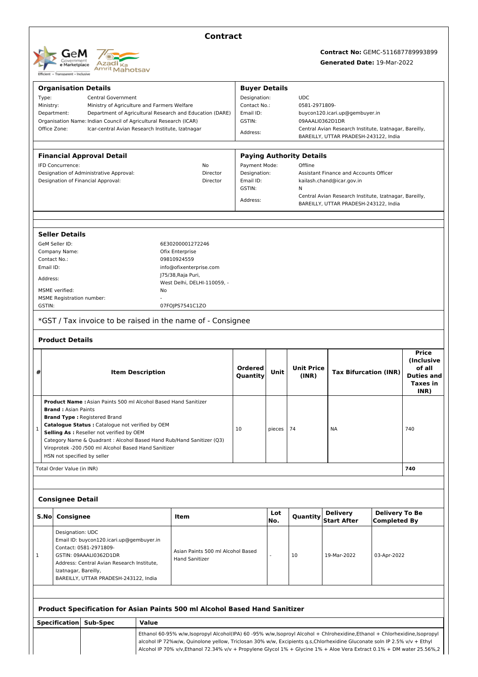

## **Contract**

# **Contract No:** GEMC-511687789993899

**Generated Date:** 19-Mar-2022

|   | <b>Organisation Details</b>                                             |                                                                       |                         |                                                                                                                          | <b>Buyer Details</b>                                          |                                |                                 |                                                                                                 |                              |                         |
|---|-------------------------------------------------------------------------|-----------------------------------------------------------------------|-------------------------|--------------------------------------------------------------------------------------------------------------------------|---------------------------------------------------------------|--------------------------------|---------------------------------|-------------------------------------------------------------------------------------------------|------------------------------|-------------------------|
|   | Type:<br>Central Government                                             |                                                                       |                         |                                                                                                                          | Designation:<br><b>UDC</b>                                    |                                |                                 |                                                                                                 |                              |                         |
|   | Ministry:                                                               | Ministry of Agriculture and Farmers Welfare                           |                         |                                                                                                                          | Contact No.:                                                  |                                | 0581-2971809-                   |                                                                                                 |                              |                         |
|   | Department:<br>Department of Agricultural Research and Education (DARE) |                                                                       |                         |                                                                                                                          | Email ID:                                                     | buycon120.icari.up@gembuyer.in |                                 |                                                                                                 |                              |                         |
|   |                                                                         | Organisation Name: Indian Council of Agricultural Research (ICAR)     |                         |                                                                                                                          | GSTIN:                                                        |                                | 09AAALI0362D1DR                 |                                                                                                 |                              |                         |
|   | Office Zone:                                                            | Icar-central Avian Research Institute, Izatnagar                      |                         |                                                                                                                          | Address:                                                      |                                |                                 | Central Avian Research Institute, Izatnagar, Bareilly,                                          |                              |                         |
|   |                                                                         |                                                                       |                         |                                                                                                                          |                                                               |                                |                                 | BAREILLY, UTTAR PRADESH-243122, India                                                           |                              |                         |
|   |                                                                         | <b>Financial Approval Detail</b>                                      |                         |                                                                                                                          |                                                               |                                | <b>Paying Authority Details</b> |                                                                                                 |                              |                         |
|   | IFD Concurrence:                                                        |                                                                       |                         | No                                                                                                                       | Payment Mode:                                                 |                                | Offline                         |                                                                                                 |                              |                         |
|   |                                                                         | Designation of Administrative Approval:                               |                         | Director                                                                                                                 | Designation:<br><b>Assistant Finance and Accounts Officer</b> |                                |                                 |                                                                                                 |                              |                         |
|   |                                                                         | Designation of Financial Approval:                                    |                         | Director                                                                                                                 | Email ID:<br>kailash.chand@icar.gov.in                        |                                |                                 |                                                                                                 |                              |                         |
|   |                                                                         |                                                                       |                         |                                                                                                                          | GSTIN:                                                        |                                | Ν                               |                                                                                                 |                              |                         |
|   |                                                                         |                                                                       |                         |                                                                                                                          | Address:                                                      |                                |                                 | Central Avian Research Institute, Izatnagar, Bareilly,<br>BAREILLY, UTTAR PRADESH-243122, India |                              |                         |
|   |                                                                         |                                                                       |                         |                                                                                                                          |                                                               |                                |                                 |                                                                                                 |                              |                         |
|   | <b>Seller Details</b>                                                   |                                                                       |                         |                                                                                                                          |                                                               |                                |                                 |                                                                                                 |                              |                         |
|   | GeM Seller ID:                                                          |                                                                       |                         | 6E30200001272246                                                                                                         |                                                               |                                |                                 |                                                                                                 |                              |                         |
|   | Company Name:                                                           |                                                                       |                         | Ofix Enterprise                                                                                                          |                                                               |                                |                                 |                                                                                                 |                              |                         |
|   | Contact No.:                                                            |                                                                       |                         | 09810924559                                                                                                              |                                                               |                                |                                 |                                                                                                 |                              |                         |
|   | Email ID:                                                               |                                                                       |                         | info@ofixenterprise.com                                                                                                  |                                                               |                                |                                 |                                                                                                 |                              |                         |
|   | Address:                                                                |                                                                       |                         | J75/38, Raja Puri,                                                                                                       |                                                               |                                |                                 |                                                                                                 |                              |                         |
|   |                                                                         |                                                                       |                         | West Delhi, DELHI-110059, -                                                                                              |                                                               |                                |                                 |                                                                                                 |                              |                         |
|   | MSME verified:                                                          |                                                                       | No                      |                                                                                                                          |                                                               |                                |                                 |                                                                                                 |                              |                         |
|   | <b>MSME Registration number:</b><br>GSTIN:                              |                                                                       |                         |                                                                                                                          |                                                               |                                |                                 |                                                                                                 |                              |                         |
|   |                                                                         |                                                                       |                         | 07FOJPS7541C1ZO                                                                                                          |                                                               |                                |                                 |                                                                                                 |                              |                         |
|   |                                                                         |                                                                       |                         | *GST / Tax invoice to be raised in the name of - Consignee                                                               |                                                               |                                |                                 |                                                                                                 |                              |                         |
|   | <b>Product Details</b>                                                  |                                                                       |                         |                                                                                                                          |                                                               |                                |                                 |                                                                                                 |                              |                         |
|   |                                                                         |                                                                       |                         |                                                                                                                          |                                                               |                                |                                 |                                                                                                 |                              | <b>Price</b>            |
|   |                                                                         |                                                                       |                         |                                                                                                                          |                                                               |                                |                                 |                                                                                                 |                              | <i>(Inclusive)</i>      |
|   |                                                                         |                                                                       |                         |                                                                                                                          | <b>Ordered</b>                                                |                                | <b>Unit Price</b>               |                                                                                                 |                              | of all                  |
| # |                                                                         |                                                                       |                         |                                                                                                                          |                                                               | Unit                           |                                 |                                                                                                 |                              |                         |
|   |                                                                         |                                                                       | <b>Item Description</b> |                                                                                                                          | Quantity                                                      |                                | (INR)                           |                                                                                                 | <b>Tax Bifurcation (INR)</b> | <b>Duties and</b>       |
|   |                                                                         |                                                                       |                         |                                                                                                                          |                                                               |                                |                                 |                                                                                                 |                              | <b>Taxes in</b><br>INR) |
|   |                                                                         | <b>Product Name: Asian Paints 500 ml Alcohol Based Hand Sanitizer</b> |                         |                                                                                                                          |                                                               |                                |                                 |                                                                                                 |                              |                         |
|   | <b>Brand: Asian Paints</b>                                              |                                                                       |                         |                                                                                                                          |                                                               |                                |                                 |                                                                                                 |                              |                         |
|   |                                                                         | <b>Brand Type: Registered Brand</b>                                   |                         |                                                                                                                          |                                                               |                                |                                 |                                                                                                 |                              |                         |
|   |                                                                         | Catalogue Status : Catalogue not verified by OEM                      |                         |                                                                                                                          |                                                               |                                |                                 |                                                                                                 |                              |                         |
| 1 |                                                                         | Selling As : Reseller not verified by OEM                             |                         |                                                                                                                          | 10                                                            | pieces                         | 74                              | <b>NA</b>                                                                                       |                              | 740                     |
|   |                                                                         |                                                                       |                         | Category Name & Quadrant: Alcohol Based Hand Rub/Hand Sanitizer (Q3)                                                     |                                                               |                                |                                 |                                                                                                 |                              |                         |
|   |                                                                         | Viroprotek -200 /500 ml Alcohol Based Hand Sanitizer                  |                         |                                                                                                                          |                                                               |                                |                                 |                                                                                                 |                              |                         |
|   | HSN not specified by seller                                             |                                                                       |                         |                                                                                                                          |                                                               |                                |                                 |                                                                                                 |                              |                         |
|   | Total Order Value (in INR)                                              |                                                                       |                         |                                                                                                                          |                                                               |                                |                                 |                                                                                                 |                              | 740                     |
|   |                                                                         |                                                                       |                         |                                                                                                                          |                                                               |                                |                                 |                                                                                                 |                              |                         |
|   | <b>Consignee Detail</b>                                                 |                                                                       |                         |                                                                                                                          |                                                               |                                |                                 |                                                                                                 |                              |                         |
|   |                                                                         |                                                                       |                         |                                                                                                                          |                                                               | Lot                            |                                 |                                                                                                 | <b>Delivery To Be</b>        |                         |
|   | S.Nol<br>Consignee                                                      |                                                                       |                         | Item                                                                                                                     |                                                               | No.                            | Quantity                        | <b>Delivery</b><br><b>Start After</b>                                                           | <b>Completed By</b>          |                         |
|   | Designation: UDC                                                        |                                                                       |                         |                                                                                                                          |                                                               |                                |                                 |                                                                                                 |                              |                         |
|   |                                                                         | Email ID: buycon120.icari.up@gembuyer.in                              |                         |                                                                                                                          |                                                               |                                |                                 |                                                                                                 |                              |                         |
|   |                                                                         | Contact: 0581-2971809-                                                |                         | Asian Paints 500 ml Alcohol Based                                                                                        |                                                               |                                |                                 |                                                                                                 |                              |                         |
| 1 |                                                                         | GSTIN: 09AAALI0362D1DR                                                |                         | <b>Hand Sanitizer</b>                                                                                                    |                                                               |                                | 10                              | 19-Mar-2022                                                                                     | 03-Apr-2022                  |                         |
|   |                                                                         | Address: Central Avian Research Institute,                            |                         |                                                                                                                          |                                                               |                                |                                 |                                                                                                 |                              |                         |
|   | Izatnagar, Bareilly,                                                    | BAREILLY, UTTAR PRADESH-243122, India                                 |                         |                                                                                                                          |                                                               |                                |                                 |                                                                                                 |                              |                         |
|   |                                                                         |                                                                       |                         |                                                                                                                          |                                                               |                                |                                 |                                                                                                 |                              |                         |
|   |                                                                         |                                                                       |                         |                                                                                                                          |                                                               |                                |                                 |                                                                                                 |                              |                         |
|   |                                                                         |                                                                       |                         | Product Specification for Asian Paints 500 ml Alcohol Based Hand Sanitizer                                               |                                                               |                                |                                 |                                                                                                 |                              |                         |
|   | <b>Specification</b>                                                    | Sub-Spec                                                              | <b>Value</b>            |                                                                                                                          |                                                               |                                |                                 |                                                                                                 |                              |                         |
|   |                                                                         |                                                                       |                         | Ethanol 60-95% w/w,Isopropyl Alcohol(IPA) 60 -95% w/w,Isoproyl Alcohol + Chlrohexidine,Ethanol + Chlorhexidine,Isopropyl |                                                               |                                |                                 |                                                                                                 |                              |                         |
|   |                                                                         |                                                                       |                         | alcohol IP 72%w/w, Quinolone yellow, Triclosan 30% w/w, Excipients q.s,Chlorhexidine Gluconate soln IP 2.5% v/v + Ethyl  |                                                               |                                |                                 |                                                                                                 |                              |                         |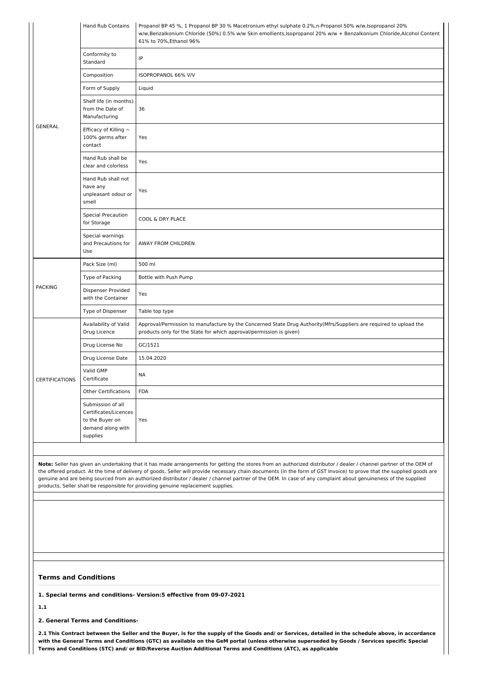|                       | <b>Hand Rub Contains</b>                                                                       | Propanol BP 45 %, 1 Propanol BP 30 % Macetronium ethyl sulphate 0.2%,n-Propanol 50% w/w,lsopropanol 20%<br>w/w,Benzalkonium Chloride (50%) 0.5% w/w Skin emollients,Isopropanol 20% w/w + Benzalkonium Chloride,Alcohol Content<br>61% to 70%, Ethanol 96%                                                                                                                                                                    |
|-----------------------|------------------------------------------------------------------------------------------------|-------------------------------------------------------------------------------------------------------------------------------------------------------------------------------------------------------------------------------------------------------------------------------------------------------------------------------------------------------------------------------------------------------------------------------|
|                       | Conformity to<br>Standard                                                                      | IP                                                                                                                                                                                                                                                                                                                                                                                                                            |
|                       | Composition                                                                                    | ISOPROPANOL 66% V/V                                                                                                                                                                                                                                                                                                                                                                                                           |
|                       | Form of Supply                                                                                 | Liquid                                                                                                                                                                                                                                                                                                                                                                                                                        |
|                       | Shelf life (in months)<br>from the Date of<br>Manufacturing                                    | 36                                                                                                                                                                                                                                                                                                                                                                                                                            |
| <b>GENERAL</b>        | Efficacy of Killing $\sim$<br>100% germs after<br>contact                                      | Yes                                                                                                                                                                                                                                                                                                                                                                                                                           |
|                       | Hand Rub shall be<br>clear and colorless                                                       | Yes                                                                                                                                                                                                                                                                                                                                                                                                                           |
|                       | Hand Rub shall not<br>have any<br>unpleasant odour or<br>smell                                 | Yes                                                                                                                                                                                                                                                                                                                                                                                                                           |
|                       | Special Precaution<br>for Storage                                                              | COOL & DRY PLACE                                                                                                                                                                                                                                                                                                                                                                                                              |
|                       | Special warnings<br>and Precautions for<br>Use                                                 | AWAY FROM CHILDREN                                                                                                                                                                                                                                                                                                                                                                                                            |
|                       | Pack Size (ml)                                                                                 | 500 ml                                                                                                                                                                                                                                                                                                                                                                                                                        |
|                       | Type of Packing                                                                                | Bottle with Push Pump                                                                                                                                                                                                                                                                                                                                                                                                         |
| <b>PACKING</b>        | <b>Dispenser Provided</b><br>with the Container                                                | Yes                                                                                                                                                                                                                                                                                                                                                                                                                           |
|                       | Type of Dispenser                                                                              | Table top type                                                                                                                                                                                                                                                                                                                                                                                                                |
|                       | Availability of Valid<br>Drug Licence                                                          | Approval/Permission to manufacture by the Concerned State Drug Authority(Mfrs/Suppliers are required to upload the<br>products only for the State for which approval/permission is given)                                                                                                                                                                                                                                     |
|                       | Drug License No                                                                                | GC/1521                                                                                                                                                                                                                                                                                                                                                                                                                       |
|                       | Drug License Date                                                                              | 15.04.2020                                                                                                                                                                                                                                                                                                                                                                                                                    |
| <b>CERTIFICATIONS</b> | Valid GMP<br>Certificate                                                                       | NA                                                                                                                                                                                                                                                                                                                                                                                                                            |
|                       | <b>Other Certifications</b>                                                                    | <b>FDA</b>                                                                                                                                                                                                                                                                                                                                                                                                                    |
|                       | Submission of all<br>Certificates/Licences<br>to the Buyer on<br>demand along with<br>supplies | Yes                                                                                                                                                                                                                                                                                                                                                                                                                           |
|                       |                                                                                                | Note: Seller has given an undertaking that it has made arrangements for getting the stores from an authorized distributor / dealer / channel partner of the OEM of                                                                                                                                                                                                                                                            |
|                       |                                                                                                | the offered product. At the time of delivery of goods, Seller will provide necessary chain documents (in the form of GST Invoice) to prove that the supplied goods are<br>genuine and are being sourced from an authorized distributor / dealer / channel partner of the OEM. In case of any complaint about genuineness of the supplied<br>products, Seller shall be responsible for providing genuine replacement supplies. |

#### **Terms and Conditions**

**1. Special terms and conditions- Version:5 effective from 09-07-2021**

**1.1**

**2. General Terms and Conditions-**

2.1 This Contract between the Seller and the Buyer, is for the supply of the Goods and/ or Services, detailed in the schedule above, in accordance with the General Terms and Conditions (GTC) as available on the GeM portal (unless otherwise superseded by Goods / Services specific Special **Terms and Conditions (STC) and/ or BID/Reverse Auction Additional Terms and Conditions (ATC), as applicable**